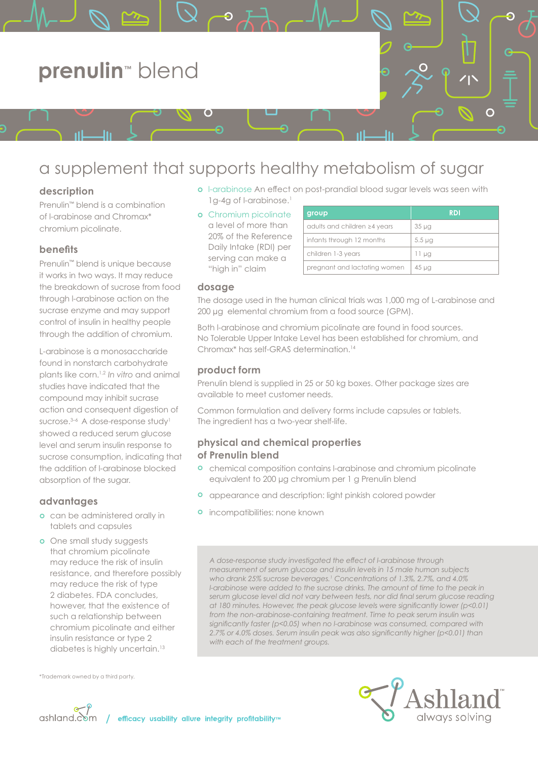

# a supplement that supports healthy metabolism of sugar

# **description**

Prenulin™ blend is a combination of l-arabinose and Chromax\* chromium picolinate.

# **benefits**

Prenulin™ blend is unique because it works in two ways. It may reduce the breakdown of sucrose from food through l-arabinose action on the sucrase enzyme and may support control of insulin in healthy people through the addition of chromium.

L-arabinose is a monosaccharide found in nonstarch carbohydrate plants like corn.1,2 *In vitro* and animal studies have indicated that the compound may inhibit sucrase action and consequent digestion of sucrose.<sup>3-6</sup> A dose-response study<sup>1</sup> showed a reduced serum glucose level and serum insulin response to sucrose consumption, indicating that the addition of l-arabinose blocked absorption of the sugar.

## **advantages**

- **o** can be administered orally in tablets and capsules
- **o** One small study suggests that chromium picolinate may reduce the risk of insulin resistance, and therefore possibly may reduce the risk of type 2 diabetes. FDA concludes, however, that the existence of such a relationship between chromium picolinate and either insulin resistance or type 2 diabetes is highly uncertain.<sup>13</sup>
- \*Trademark owned by a third party.



- o I-arabinose An effect on post-prandial blood sugar levels was seen with 1g-4g of l-arabinose.<sup>1</sup>
- **o** Chromium picolinate a level of more than 20% of the Reference Daily Intake (RDI) per serving can make a "high in" claim

| group                        | <b>RDI</b>       |
|------------------------------|------------------|
| adults and children ≥4 years | 35 <sub>µq</sub> |
| infants through 12 months    | $5.5 \mu q$      |
| children 1-3 years           | 11 µg            |
| pregnant and lactating women | $45 \mu$ g       |

## **dosage**

The dosage used in the human clinical trials was 1,000 mg of L-arabinose and 200 μg elemental chromium from a food source (GPM).

Both l-arabinose and chromium picolinate are found in food sources. No Tolerable Upper Intake Level has been established for chromium, and Chromax\* has self-GRAS determination.14

## **product form**

Prenulin blend is supplied in 25 or 50 kg boxes. Other package sizes are available to meet customer needs.

Common formulation and delivery forms include capsules or tablets. The ingredient has a two-year shelf-life.

## **physical and chemical properties of Prenulin blend**

- **•** chemical composition contains l-arabinose and chromium picolinate equivalent to 200 μg chromium per 1 g Prenulin blend
- ¢ appearance and description: light pinkish colored powder
- **o** incompatibilities: none known

*A dose-response study investigated the effect of l-arabinose through measurement of serum glucose and insulin levels in 15 male human subjects who drank 25% sucrose beverages.1 Concentrations of 1.3%, 2.7%, and 4.0% l-arabinose were added to the sucrose drinks. The amount of time to the peak in serum glucose level did not vary between tests, nor did final serum glucose reading at 180 minutes. However, the peak glucose levels were significantly lower (p<0.01) from the non-arabinose-containing treatment. Time to peak serum insulin was significantly faster (p<0.05) when no l-arabinose was consumed, compared with 2.7% or 4.0% doses. Serum insulin peak was also significantly higher (p<0.01) than with each of the treatment groups.*